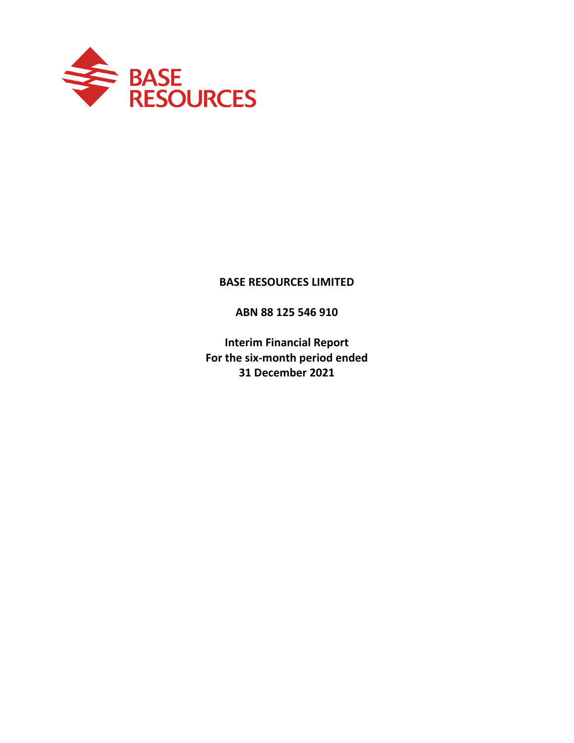

# **BASE RESOURCES LIMITED**

**ABN 88 125 546 910**

**Interim Financial Report For the six‐month period ended 31 December 2021**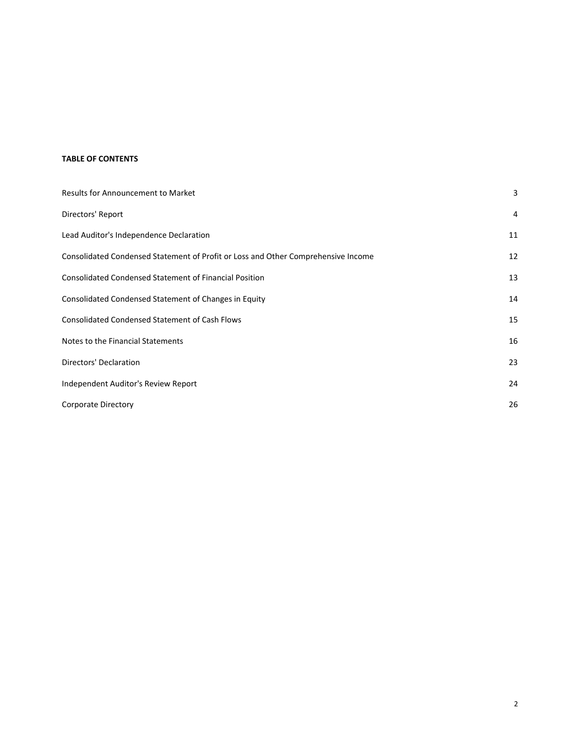#### **TABLE OF CONTENTS**

| <b>Results for Announcement to Market</b>                                         | 3  |
|-----------------------------------------------------------------------------------|----|
| Directors' Report                                                                 | 4  |
| Lead Auditor's Independence Declaration                                           | 11 |
| Consolidated Condensed Statement of Profit or Loss and Other Comprehensive Income | 12 |
| <b>Consolidated Condensed Statement of Financial Position</b>                     | 13 |
| Consolidated Condensed Statement of Changes in Equity                             | 14 |
| <b>Consolidated Condensed Statement of Cash Flows</b>                             | 15 |
| Notes to the Financial Statements                                                 | 16 |
| Directors' Declaration                                                            | 23 |
| Independent Auditor's Review Report                                               | 24 |
| Corporate Directory                                                               | 26 |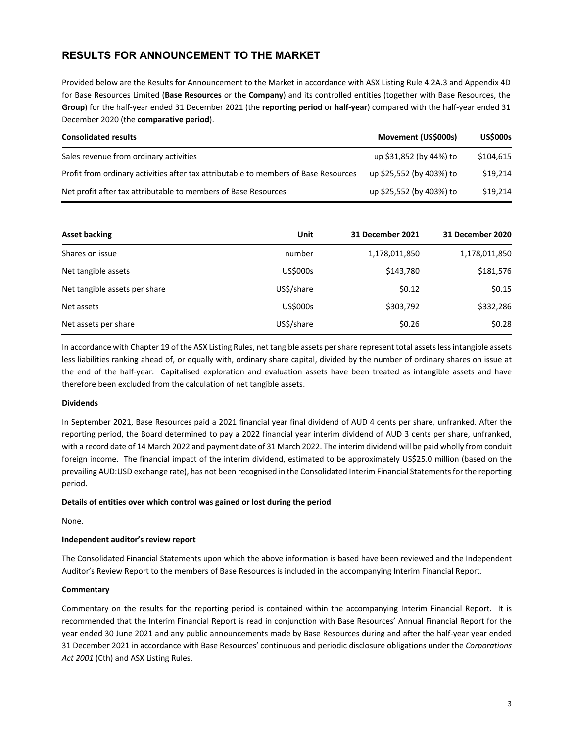# **RESULTS FOR ANNOUNCEMENT TO THE MARKET**

Provided below are the Results for Announcement to the Market in accordance with ASX Listing Rule 4.2A.3 and Appendix 4D for Base Resources Limited (**Base Resources** or the **Company**) and its controlled entities (together with Base Resources, the **Group**) for the half‐year ended 31 December 2021 (the **reporting period** or **half‐year**) compared with the half‐year ended 31 December 2020 (the **comparative period**).

| <b>Consolidated results</b>                                                         | Movement (US\$000s)      | <b>US\$000s</b> |
|-------------------------------------------------------------------------------------|--------------------------|-----------------|
| Sales revenue from ordinary activities                                              | up \$31,852 (by 44%) to  | \$104,615       |
| Profit from ordinary activities after tax attributable to members of Base Resources | up \$25,552 (by 403%) to | \$19,214        |
| Net profit after tax attributable to members of Base Resources                      | up \$25,552 (by 403%) to | \$19,214        |

| Asset backing                 | Unit            | 31 December 2021 | 31 December 2020 |
|-------------------------------|-----------------|------------------|------------------|
| Shares on issue               | number          | 1,178,011,850    | 1,178,011,850    |
| Net tangible assets           | US\$000s        | \$143,780        | \$181,576        |
| Net tangible assets per share | US\$/share      | \$0.12           | \$0.15           |
| Net assets                    | <b>US\$000s</b> | \$303,792        | \$332,286        |
| Net assets per share          | US\$/share      | \$0.26           | \$0.28           |

In accordance with Chapter 19 of the ASX Listing Rules, net tangible assets per share represent total assets less intangible assets less liabilities ranking ahead of, or equally with, ordinary share capital, divided by the number of ordinary shares on issue at the end of the half-year. Capitalised exploration and evaluation assets have been treated as intangible assets and have therefore been excluded from the calculation of net tangible assets.

#### **Dividends**

In September 2021, Base Resources paid a 2021 financial year final dividend of AUD 4 cents per share, unfranked. After the reporting period, the Board determined to pay a 2022 financial year interim dividend of AUD 3 cents per share, unfranked, with a record date of 14 March 2022 and payment date of 31 March 2022. The interim dividend will be paid wholly from conduit foreign income. The financial impact of the interim dividend, estimated to be approximately US\$25.0 million (based on the prevailing AUD:USD exchange rate), has not been recognised in the Consolidated Interim Financial Statements for the reporting period.

#### **Details of entities over which control was gained or lost during the period**

None.

#### **Independent auditor's review report**

The Consolidated Financial Statements upon which the above information is based have been reviewed and the Independent Auditor's Review Report to the members of Base Resources is included in the accompanying Interim Financial Report.

#### **Commentary**

Commentary on the results for the reporting period is contained within the accompanying Interim Financial Report. It is recommended that the Interim Financial Report is read in conjunction with Base Resources' Annual Financial Report for the year ended 30 June 2021 and any public announcements made by Base Resources during and after the half‐year year ended 31 December 2021 in accordance with Base Resources' continuous and periodic disclosure obligations under the *Corporations Act 2001* (Cth) and ASX Listing Rules.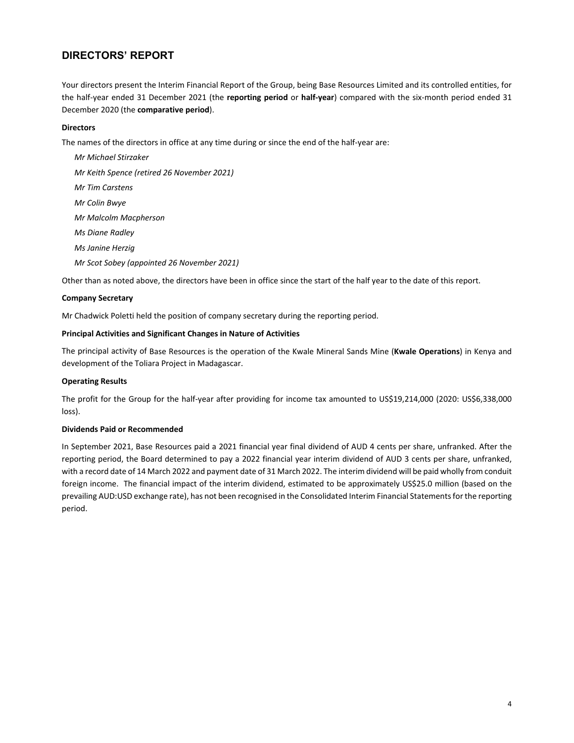Your directors present the Interim Financial Report of the Group, being Base Resources Limited and its controlled entities, for the half‐year ended 31 December 2021 (the **reporting period** or **half‐year**) compared with the six‐month period ended 31 December 2020 (the **comparative period**).

#### **Directors**

The names of the directors in office at any time during or since the end of the half‐year are:

*Mr Michael Stirzaker Mr Keith Spence (retired 26 November 2021) Mr Tim Carstens Mr Colin Bwye Mr Malcolm Macpherson Ms Diane Radley Ms Janine Herzig Mr Scot Sobey (appointed 26 November 2021)*

Other than as noted above, the directors have been in office since the start of the half year to the date of this report.

#### **Company Secretary**

Mr Chadwick Poletti held the position of company secretary during the reporting period.

#### **Principal Activities and Significant Changes in Nature of Activities**

The principal activity of Base Resources is the operation of the Kwale Mineral Sands Mine (**Kwale Operations**) in Kenya and development of the Toliara Project in Madagascar.

#### **Operating Results**

The profit for the Group for the half‐year after providing for income tax amounted to US\$19,214,000 (2020: US\$6,338,000 loss).

#### **Dividends Paid or Recommended**

In September 2021, Base Resources paid a 2021 financial year final dividend of AUD 4 cents per share, unfranked. After the reporting period, the Board determined to pay a 2022 financial year interim dividend of AUD 3 cents per share, unfranked, with a record date of 14 March 2022 and payment date of 31 March 2022. The interim dividend will be paid wholly from conduit foreign income. The financial impact of the interim dividend, estimated to be approximately US\$25.0 million (based on the prevailing AUD:USD exchange rate), has not been recognised in the Consolidated Interim Financial Statements for the reporting period.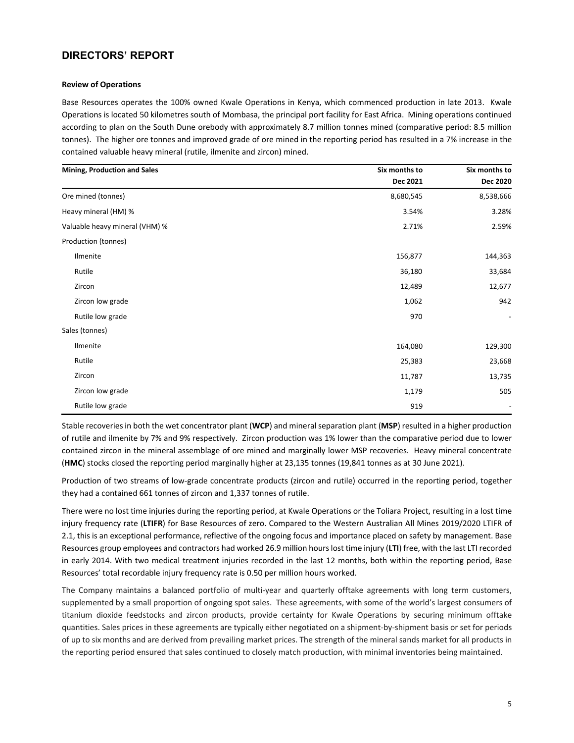#### **Review of Operations**

Base Resources operates the 100% owned Kwale Operations in Kenya, which commenced production in late 2013. Kwale Operations is located 50 kilometres south of Mombasa, the principal port facility for East Africa. Mining operations continued according to plan on the South Dune orebody with approximately 8.7 million tonnes mined (comparative period: 8.5 million tonnes). The higher ore tonnes and improved grade of ore mined in the reporting period has resulted in a 7% increase in the contained valuable heavy mineral (rutile, ilmenite and zircon) mined.

| <b>Mining, Production and Sales</b> | Six months to | Six months to            |
|-------------------------------------|---------------|--------------------------|
|                                     | Dec 2021      | Dec 2020                 |
| Ore mined (tonnes)                  | 8,680,545     | 8,538,666                |
| Heavy mineral (HM) %                | 3.54%         | 3.28%                    |
| Valuable heavy mineral (VHM) %      | 2.71%         | 2.59%                    |
| Production (tonnes)                 |               |                          |
| Ilmenite                            | 156,877       | 144,363                  |
| Rutile                              | 36,180        | 33,684                   |
| Zircon                              | 12,489        | 12,677                   |
| Zircon low grade                    | 1,062         | 942                      |
| Rutile low grade                    | 970           | $\overline{\phantom{a}}$ |
| Sales (tonnes)                      |               |                          |
| Ilmenite                            | 164,080       | 129,300                  |
| Rutile                              | 25,383        | 23,668                   |
| Zircon                              | 11,787        | 13,735                   |
| Zircon low grade                    | 1,179         | 505                      |
| Rutile low grade                    | 919           |                          |

Stable recoveriesin both the wet concentrator plant (**WCP**) and mineralseparation plant (**MSP**) resulted in a higher production of rutile and ilmenite by 7% and 9% respectively. Zircon production was 1% lower than the comparative period due to lower contained zircon in the mineral assemblage of ore mined and marginally lower MSP recoveries. Heavy mineral concentrate (**HMC**) stocks closed the reporting period marginally higher at 23,135 tonnes (19,841 tonnes as at 30 June 2021).

Production of two streams of low‐grade concentrate products (zircon and rutile) occurred in the reporting period, together they had a contained 661 tonnes of zircon and 1,337 tonnes of rutile.

There were no lost time injuries during the reporting period, at Kwale Operations or the Toliara Project, resulting in a lost time injury frequency rate (**LTIFR**) for Base Resources of zero. Compared to the Western Australian All Mines 2019/2020 LTIFR of 2.1, this is an exceptional performance, reflective of the ongoing focus and importance placed on safety by management. Base Resources group employees and contractors had worked 26.9 million hourslost time injury (**LTI**) free, with the last LTI recorded in early 2014. With two medical treatment injuries recorded in the last 12 months, both within the reporting period, Base Resources' total recordable injury frequency rate is 0.50 per million hours worked.

The Company maintains a balanced portfolio of multi-year and quarterly offtake agreements with long term customers, supplemented by a small proportion of ongoing spot sales. These agreements, with some of the world's largest consumers of titanium dioxide feedstocks and zircon products, provide certainty for Kwale Operations by securing minimum offtake quantities. Sales prices in these agreements are typically either negotiated on a shipment‐by‐shipment basis or set for periods of up to six months and are derived from prevailing market prices. The strength of the mineral sands market for all products in the reporting period ensured that sales continued to closely match production, with minimal inventories being maintained.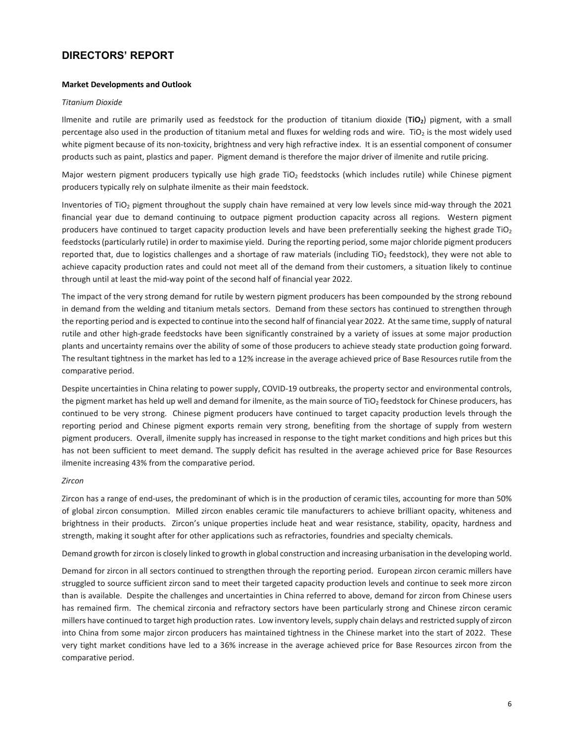#### **Market Developments and Outlook**

#### *Titanium Dioxide*

Ilmenite and rutile are primarily used as feedstock for the production of titanium dioxide (**TiO2**) pigment, with a small percentage also used in the production of titanium metal and fluxes for welding rods and wire. TiO<sub>2</sub> is the most widely used white pigment because of its non‐toxicity, brightness and very high refractive index. It is an essential component of consumer products such as paint, plastics and paper. Pigment demand is therefore the major driver of ilmenite and rutile pricing.

Major western pigment producers typically use high grade TiO<sub>2</sub> feedstocks (which includes rutile) while Chinese pigment producers typically rely on sulphate ilmenite as their main feedstock.

Inventories of TiO<sub>2</sub> pigment throughout the supply chain have remained at very low levels since mid-way through the 2021 financial year due to demand continuing to outpace pigment production capacity across all regions. Western pigment producers have continued to target capacity production levels and have been preferentially seeking the highest grade TiO<sub>2</sub> feedstocks (particularly rutile) in order to maximise yield. During the reporting period, some major chloride pigment producers reported that, due to logistics challenges and a shortage of raw materials (including TiO<sub>2</sub> feedstock), they were not able to achieve capacity production rates and could not meet all of the demand from their customers, a situation likely to continue through until at least the mid‐way point of the second half of financial year 2022.

The impact of the very strong demand for rutile by western pigment producers has been compounded by the strong rebound in demand from the welding and titanium metals sectors. Demand from these sectors has continued to strengthen through the reporting period and is expected to continue into the second half of financial year 2022. At the same time, supply of natural rutile and other high‐grade feedstocks have been significantly constrained by a variety of issues at some major production plants and uncertainty remains over the ability of some of those producers to achieve steady state production going forward. The resultant tightness in the market has led to a 12% increase in the average achieved price of Base Resources rutile from the comparative period.

Despite uncertainties in China relating to power supply, COVID-19 outbreaks, the property sector and environmental controls, the pigment market has held up well and demand for ilmenite, as the main source of TiO<sub>2</sub> feedstock for Chinese producers, has continued to be very strong. Chinese pigment producers have continued to target capacity production levels through the reporting period and Chinese pigment exports remain very strong, benefiting from the shortage of supply from western pigment producers. Overall, ilmenite supply has increased in response to the tight market conditions and high prices but this has not been sufficient to meet demand. The supply deficit has resulted in the average achieved price for Base Resources ilmenite increasing 43% from the comparative period.

#### *Zircon*

Zircon has a range of end‐uses, the predominant of which is in the production of ceramic tiles, accounting for more than 50% of global zircon consumption. Milled zircon enables ceramic tile manufacturers to achieve brilliant opacity, whiteness and brightness in their products. Zircon's unique properties include heat and wear resistance, stability, opacity, hardness and strength, making it sought after for other applications such as refractories, foundries and specialty chemicals.

Demand growth for zircon is closely linked to growth in global construction and increasing urbanisation in the developing world.

Demand for zircon in all sectors continued to strengthen through the reporting period. European zircon ceramic millers have struggled to source sufficient zircon sand to meet their targeted capacity production levels and continue to seek more zircon than is available. Despite the challenges and uncertainties in China referred to above, demand for zircon from Chinese users has remained firm. The chemical zirconia and refractory sectors have been particularly strong and Chinese zircon ceramic millers have continued to target high production rates. Low inventory levels, supply chain delays and restricted supply of zircon into China from some major zircon producers has maintained tightness in the Chinese market into the start of 2022. These very tight market conditions have led to a 36% increase in the average achieved price for Base Resources zircon from the comparative period.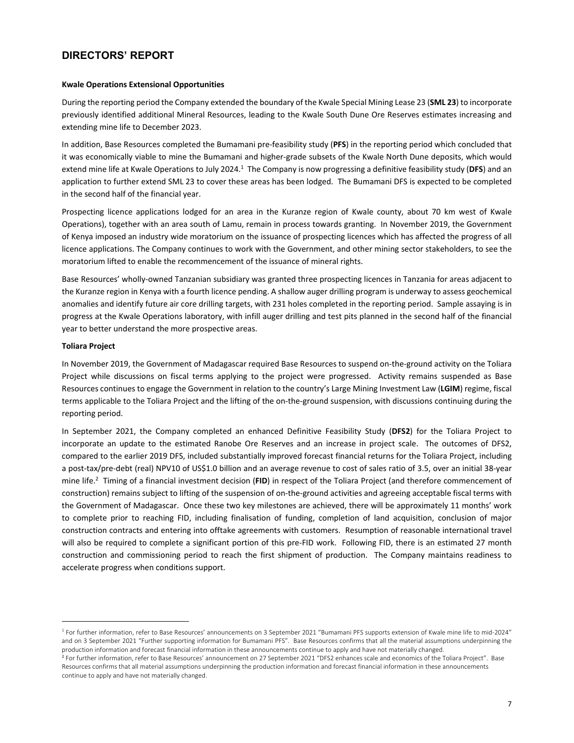#### **Kwale Operations Extensional Opportunities**

During the reporting period the Company extended the boundary of the Kwale Special Mining Lease 23 (**SML 23**) to incorporate previously identified additional Mineral Resources, leading to the Kwale South Dune Ore Reserves estimates increasing and extending mine life to December 2023.

In addition, Base Resources completed the Bumamani pre‐feasibility study (**PFS**) in the reporting period which concluded that it was economically viable to mine the Bumamani and higher-grade subsets of the Kwale North Dune deposits, which would extend mine life at Kwale Operations to July 2024.<sup>1</sup> The Company is now progressing a definitive feasibility study (DFS) and an application to further extend SML 23 to cover these areas has been lodged. The Bumamani DFS is expected to be completed in the second half of the financial year.

Prospecting licence applications lodged for an area in the Kuranze region of Kwale county, about 70 km west of Kwale Operations), together with an area south of Lamu, remain in process towards granting. In November 2019, the Government of Kenya imposed an industry wide moratorium on the issuance of prospecting licences which has affected the progress of all licence applications. The Company continues to work with the Government, and other mining sector stakeholders, to see the moratorium lifted to enable the recommencement of the issuance of mineral rights.

Base Resources' wholly‐owned Tanzanian subsidiary was granted three prospecting licences in Tanzania for areas adjacent to the Kuranze region in Kenya with a fourth licence pending. A shallow auger drilling program is underway to assess geochemical anomalies and identify future air core drilling targets, with 231 holes completed in the reporting period. Sample assaying is in progress at the Kwale Operations laboratory, with infill auger drilling and test pits planned in the second half of the financial year to better understand the more prospective areas.

#### **Toliara Project**

In November 2019, the Government of Madagascar required Base Resources to suspend on‐the‐ground activity on the Toliara Project while discussions on fiscal terms applying to the project were progressed. Activity remains suspended as Base Resources continues to engage the Government in relation to the country's Large Mining Investment Law (**LGIM**) regime, fiscal terms applicable to the Toliara Project and the lifting of the on-the-ground suspension, with discussions continuing during the reporting period.

In September 2021, the Company completed an enhanced Definitive Feasibility Study (**DFS2**) for the Toliara Project to incorporate an update to the estimated Ranobe Ore Reserves and an increase in project scale. The outcomes of DFS2, compared to the earlier 2019 DFS, included substantially improved forecast financial returns for the Toliara Project, including a post‐tax/pre‐debt (real) NPV10 of US\$1.0 billion and an average revenue to cost of sales ratio of 3.5, over an initial 38‐year mine life.2 Timing of a financial investment decision (**FID**) in respect of the Toliara Project (and therefore commencement of construction) remains subject to lifting of the suspension of on‐the‐ground activities and agreeing acceptable fiscal terms with the Government of Madagascar. Once these two key milestones are achieved, there will be approximately 11 months' work to complete prior to reaching FID, including finalisation of funding, completion of land acquisition, conclusion of major construction contracts and entering into offtake agreements with customers. Resumption of reasonable international travel will also be required to complete a significant portion of this pre-FID work. Following FID, there is an estimated 27 month construction and commissioning period to reach the first shipment of production. The Company maintains readiness to accelerate progress when conditions support.

 $1$  For further information, refer to Base Resources' announcements on 3 September 2021 "Bumamani PFS supports extension of Kwale mine life to mid-2024" and on 3 September 2021 "Further supporting information for Bumamani PFS". Base Resources confirms that all the material assumptions underpinning the production information and forecast financial information in these announcements continue to apply and have not materially changed.

<sup>&</sup>lt;sup>2</sup> For further information, refer to Base Resources' announcement on 27 September 2021 "DFS2 enhances scale and economics of the Toliara Project". Base Resources confirms that all material assumptions underpinning the production information and forecast financial information in these announcements continue to apply and have not materially changed.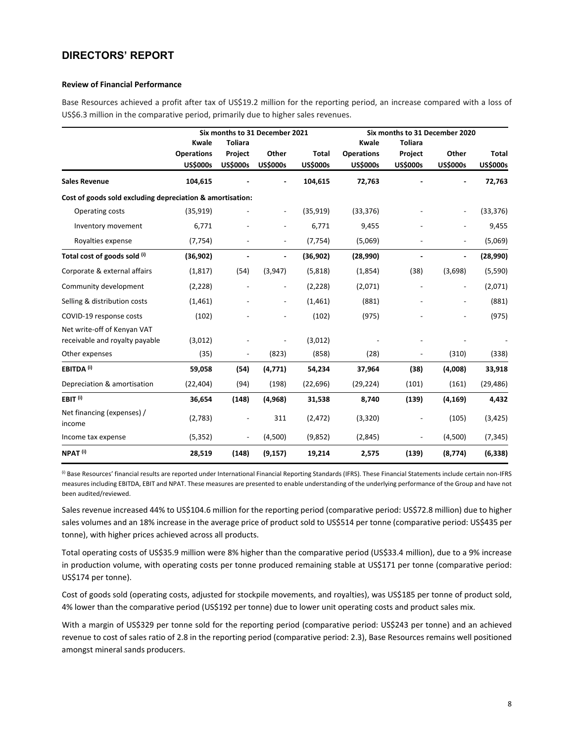#### **Review of Financial Performance**

Base Resources achieved a profit after tax of US\$19.2 million for the reporting period, an increase compared with a loss of US\$6.3 million in the comparative period, primarily due to higher sales revenues.

|                                                           |                                      |                              | Six months to 31 December 2021 |                                 |                                      | Six months to 31 December 2020 |                          |                          |
|-----------------------------------------------------------|--------------------------------------|------------------------------|--------------------------------|---------------------------------|--------------------------------------|--------------------------------|--------------------------|--------------------------|
|                                                           | Kwale                                | <b>Toliara</b>               |                                |                                 | Kwale                                | <b>Toliara</b>                 |                          |                          |
|                                                           | <b>Operations</b><br><b>US\$000s</b> | Project<br><b>US\$000s</b>   | Other<br><b>US\$000s</b>       | <b>Total</b><br><b>US\$000s</b> | <b>Operations</b><br><b>US\$000s</b> | Project<br><b>US\$000s</b>     | Other<br><b>US\$000s</b> | Total<br><b>US\$000s</b> |
| <b>Sales Revenue</b>                                      | 104,615                              |                              |                                | 104,615                         | 72,763                               |                                |                          | 72,763                   |
| Cost of goods sold excluding depreciation & amortisation: |                                      |                              |                                |                                 |                                      |                                |                          |                          |
| Operating costs                                           | (35, 919)                            |                              |                                | (35, 919)                       | (33, 376)                            |                                |                          | (33, 376)                |
| Inventory movement                                        | 6,771                                |                              | $\overline{\phantom{a}}$       | 6,771                           | 9,455                                |                                | $\overline{\phantom{a}}$ | 9,455                    |
| Royalties expense                                         | (7, 754)                             |                              |                                | (7, 754)                        | (5,069)                              |                                |                          | (5,069)                  |
| Total cost of goods sold (i)                              | (36,902)                             |                              |                                | (36, 902)                       | (28,990)                             |                                |                          | (28,990)                 |
| Corporate & external affairs                              | (1, 817)                             | (54)                         | (3,947)                        | (5,818)                         | (1,854)                              | (38)                           | (3,698)                  | (5,590)                  |
| Community development                                     | (2, 228)                             |                              |                                | (2,228)                         | (2,071)                              |                                |                          | (2,071)                  |
| Selling & distribution costs                              | (1,461)                              |                              |                                | (1,461)                         | (881)                                |                                |                          | (881)                    |
| COVID-19 response costs                                   | (102)                                |                              | $\overline{\phantom{a}}$       | (102)                           | (975)                                |                                | $\overline{\phantom{a}}$ | (975)                    |
| Net write-off of Kenyan VAT                               |                                      |                              |                                |                                 |                                      |                                |                          |                          |
| receivable and royalty payable                            | (3,012)                              |                              |                                | (3,012)                         |                                      |                                |                          |                          |
| Other expenses                                            | (35)                                 |                              | (823)                          | (858)                           | (28)                                 |                                | (310)                    | (338)                    |
| EBITDA <sup>(i)</sup>                                     | 59,058                               | (54)                         | (4,771)                        | 54,234                          | 37,964                               | (38)                           | (4,008)                  | 33,918                   |
| Depreciation & amortisation                               | (22, 404)                            | (94)                         | (198)                          | (22, 696)                       | (29, 224)                            | (101)                          | (161)                    | (29, 486)                |
| EBIT <sup>(i)</sup>                                       | 36,654                               | (148)                        | (4,968)                        | 31,538                          | 8,740                                | (139)                          | (4, 169)                 | 4,432                    |
| Net financing (expenses) /<br>income                      | (2,783)                              |                              | 311                            | (2, 472)                        | (3,320)                              |                                | (105)                    | (3, 425)                 |
| Income tax expense                                        | (5, 352)                             | $\qquad \qquad \blacksquare$ | (4,500)                        | (9,852)                         | (2,845)                              | $\overline{\phantom{a}}$       | (4,500)                  | (7, 345)                 |
| NPAT <sup>(i)</sup>                                       | 28,519                               | (148)                        | (9, 157)                       | 19,214                          | 2,575                                | (139)                          | (8, 774)                 | (6, 338)                 |

(i) Base Resources' financial results are reported under International Financial Reporting Standards (IFRS). These Financial Statements include certain non-IFRS measures including EBITDA, EBIT and NPAT. These measures are presented to enable understanding of the underlying performance of the Group and have not been audited/reviewed.

Sales revenue increased 44% to US\$104.6 million for the reporting period (comparative period: US\$72.8 million) due to higher sales volumes and an 18% increase in the average price of product sold to US\$514 per tonne (comparative period: US\$435 per tonne), with higher prices achieved across all products.

Total operating costs of US\$35.9 million were 8% higher than the comparative period (US\$33.4 million), due to a 9% increase in production volume, with operating costs per tonne produced remaining stable at US\$171 per tonne (comparative period: US\$174 per tonne).

Cost of goods sold (operating costs, adjusted for stockpile movements, and royalties), was US\$185 per tonne of product sold, 4% lower than the comparative period (US\$192 per tonne) due to lower unit operating costs and product sales mix.

With a margin of US\$329 per tonne sold for the reporting period (comparative period: US\$243 per tonne) and an achieved revenue to cost of sales ratio of 2.8 in the reporting period (comparative period: 2.3), Base Resources remains well positioned amongst mineral sands producers.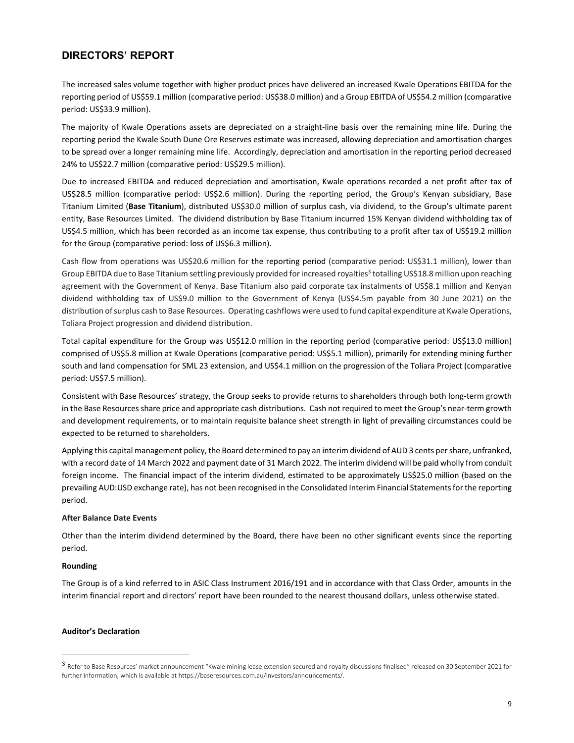The increased sales volume together with higher product prices have delivered an increased Kwale Operations EBITDA for the reporting period of US\$59.1 million (comparative period: US\$38.0 million) and a Group EBITDA of US\$54.2 million (comparative period: US\$33.9 million).

The majority of Kwale Operations assets are depreciated on a straight‐line basis over the remaining mine life. During the reporting period the Kwale South Dune Ore Reserves estimate was increased, allowing depreciation and amortisation charges to be spread over a longer remaining mine life. Accordingly, depreciation and amortisation in the reporting period decreased 24% to US\$22.7 million (comparative period: US\$29.5 million).

Due to increased EBITDA and reduced depreciation and amortisation, Kwale operations recorded a net profit after tax of US\$28.5 million (comparative period: US\$2.6 million). During the reporting period, the Group's Kenyan subsidiary, Base Titanium Limited (**Base Titanium**), distributed US\$30.0 million of surplus cash, via dividend, to the Group's ultimate parent entity, Base Resources Limited. The dividend distribution by Base Titanium incurred 15% Kenyan dividend withholding tax of US\$4.5 million, which has been recorded as an income tax expense, thus contributing to a profit after tax of US\$19.2 million for the Group (comparative period: loss of US\$6.3 million).

Cash flow from operations was US\$20.6 million for the reporting period (comparative period: US\$31.1 million), lower than Group EBITDA due to Base Titanium settling previously provided for increased royalties<sup>3</sup> totalling US\$18.8 million upon reaching agreement with the Government of Kenya. Base Titanium also paid corporate tax instalments of US\$8.1 million and Kenyan dividend withholding tax of US\$9.0 million to the Government of Kenya (US\$4.5m payable from 30 June 2021) on the distribution ofsurplus cash to Base Resources. Operating cashflows were used to fund capital expenditure at Kwale Operations, Toliara Project progression and dividend distribution.

Total capital expenditure for the Group was US\$12.0 million in the reporting period (comparative period: US\$13.0 million) comprised of US\$5.8 million at Kwale Operations (comparative period: US\$5.1 million), primarily for extending mining further south and land compensation for SML 23 extension, and US\$4.1 million on the progression of the Toliara Project (comparative period: US\$7.5 million).

Consistent with Base Resources' strategy, the Group seeks to provide returns to shareholders through both long‐term growth in the Base Resources share price and appropriate cash distributions. Cash not required to meet the Group's near-term growth and development requirements, or to maintain requisite balance sheet strength in light of prevailing circumstances could be expected to be returned to shareholders.

Applying this capital management policy, the Board determined to pay an interim dividend of AUD 3 cents pershare, unfranked, with a record date of 14 March 2022 and payment date of 31 March 2022. The interim dividend will be paid wholly from conduit foreign income. The financial impact of the interim dividend, estimated to be approximately US\$25.0 million (based on the prevailing AUD:USD exchange rate), has not been recognised in the Consolidated Interim Financial Statements for the reporting period.

#### **After Balance Date Events**

Other than the interim dividend determined by the Board, there have been no other significant events since the reporting period.

#### **Rounding**

The Group is of a kind referred to in ASIC Class Instrument 2016/191 and in accordance with that Class Order, amounts in the interim financial report and directors' report have been rounded to the nearest thousand dollars, unless otherwise stated.

#### **Auditor's Declaration**

<sup>3</sup> Refer to Base Resources' market announcement "Kwale mining lease extension secured and royalty discussions finalised" released on 30 September 2021 for further information, which is available at https://baseresources.com.au/investors/announcements/.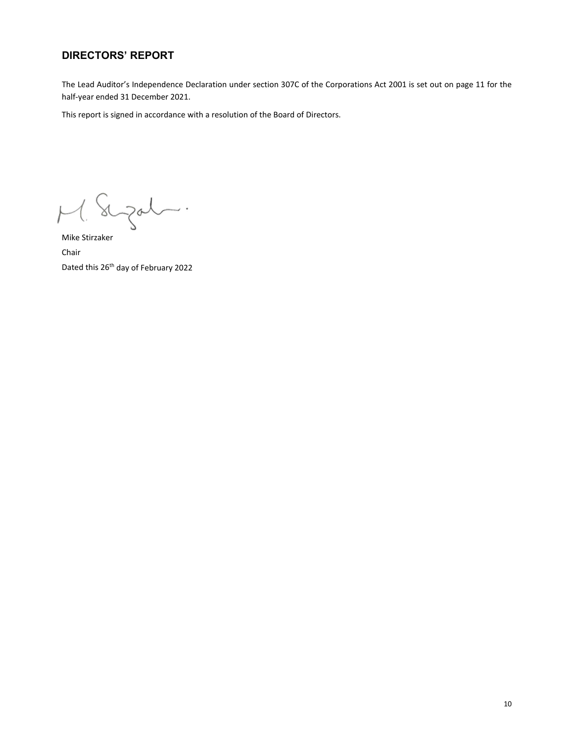The Lead Auditor's Independence Declaration under section 307C of the Corporations Act 2001 is set out on page 11 for the half‐year ended 31 December 2021.

This report is signed in accordance with a resolution of the Board of Directors.

augat.  $M_{\cdot}$ 

Mike Stirzaker Chair Dated this 26<sup>th</sup> day of February 2022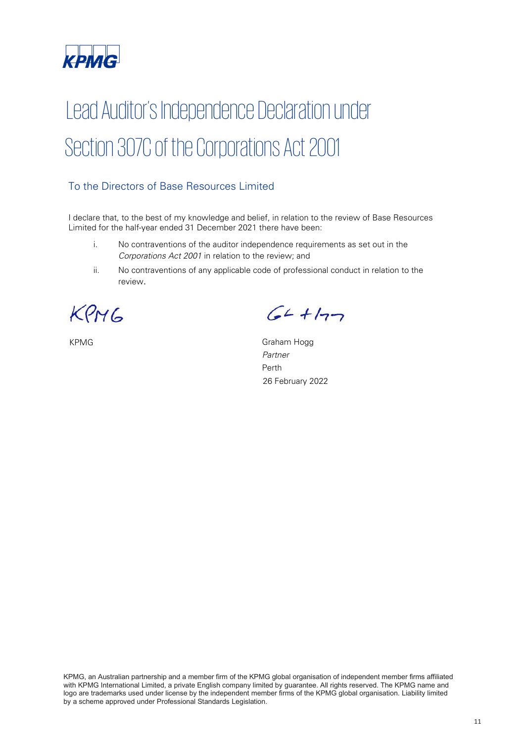

# Lead Auditor's Independence Declaration under Section 307C of the Corporations Act 2001

# To the Directors of Base Resources Limited

I declare that, to the best of my knowledge and belief, in relation to the review of Base Resources Limited for the half-year ended 31 December 2021 there have been:

- i. No contraventions of the auditor independence requirements as set out in the Corporations Act 2001 in relation to the review; and
- ii. No contraventions of any applicable code of professional conduct in relation to the review.

KPMG

 $64 + 177$ 

KPMG Graham Hogg Partner Perth 26 February 2022

KPMG, an Australian partnership and a member firm of the KPMG global organisation of independent member firms affiliated with KPMG International Limited, a private English company limited by guarantee. All rights reserved. The KPMG name and logo are trademarks used under license by the independent member firms of the KPMG global organisation. Liability limited by a scheme approved under Professional Standards Legislation.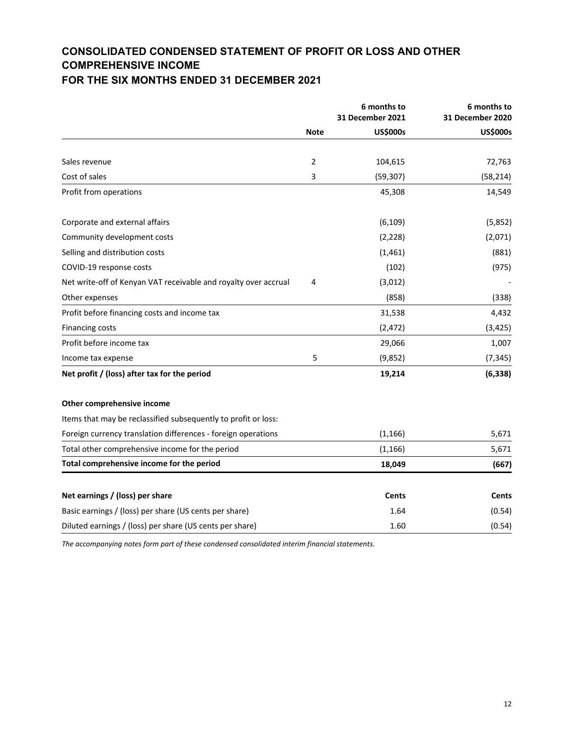# **CONSOLIDATED CONDENSED STATEMENT OF PROFIT OR LOSS AND OTHER COMPREHENSIVE INCOME**

# **FOR THE SIX MONTHS ENDED 31 DECEMBER 2021**

|                                                                 |             | 6 months to<br><b>31 December 2021</b> | 6 months to<br><b>31 December 2020</b> |
|-----------------------------------------------------------------|-------------|----------------------------------------|----------------------------------------|
|                                                                 | <b>Note</b> | <b>US\$000s</b>                        | <b>US\$000s</b>                        |
|                                                                 |             |                                        |                                        |
| Sales revenue                                                   | 2           | 104,615                                | 72,763                                 |
| Cost of sales                                                   | 3           | (59, 307)                              | (58, 214)                              |
| Profit from operations                                          |             | 45,308                                 | 14,549                                 |
| Corporate and external affairs                                  |             | (6, 109)                               | (5,852)                                |
| Community development costs                                     |             | (2,228)                                | (2,071)                                |
| Selling and distribution costs                                  |             | (1,461)                                | (881)                                  |
| COVID-19 response costs                                         |             | (102)                                  | (975)                                  |
| Net write-off of Kenyan VAT receivable and royalty over accrual | 4           | (3,012)                                |                                        |
| Other expenses                                                  |             | (858)                                  | (338)                                  |
| Profit before financing costs and income tax                    |             | 31,538                                 | 4,432                                  |
| <b>Financing costs</b>                                          |             | (2, 472)                               | (3, 425)                               |
| Profit before income tax                                        |             | 29,066                                 | 1,007                                  |
| Income tax expense                                              | 5           | (9,852)                                | (7, 345)                               |
| Net profit / (loss) after tax for the period                    |             | 19,214                                 | (6, 338)                               |
| Other comprehensive income                                      |             |                                        |                                        |
| Items that may be reclassified subsequently to profit or loss:  |             |                                        |                                        |
| Foreign currency translation differences - foreign operations   |             | (1, 166)                               | 5,671                                  |
| Total other comprehensive income for the period                 |             | (1, 166)                               | 5,671                                  |
| Total comprehensive income for the period                       |             | 18,049                                 | (667)                                  |
| Net earnings / (loss) per share                                 |             | <b>Cents</b>                           | Cents                                  |
| Basic earnings / (loss) per share (US cents per share)          |             | 1.64                                   | (0.54)                                 |
| Diluted earnings / (loss) per share (US cents per share)        |             | 1.60                                   | (0.54)                                 |
|                                                                 |             |                                        |                                        |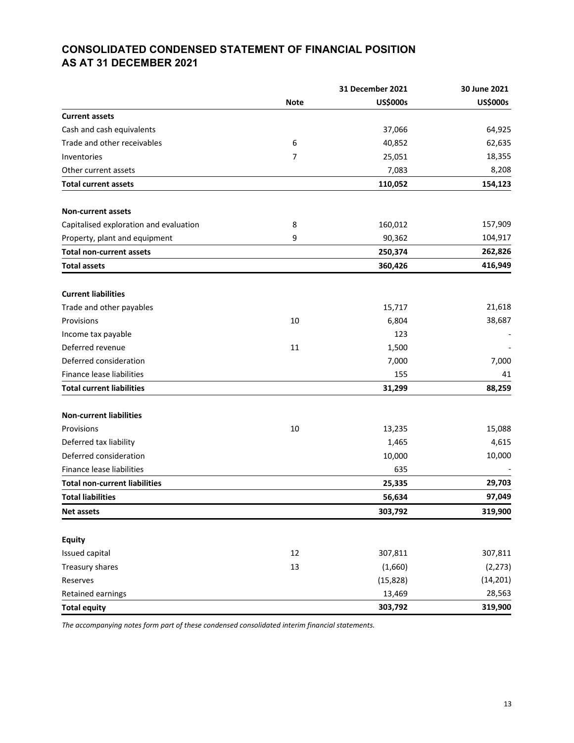# **CONSOLIDATED CONDENSED STATEMENT OF FINANCIAL POSITION AS AT 31 DECEMBER 2021**

|                                        |             | <b>31 December 2021</b> | 30 June 2021    |
|----------------------------------------|-------------|-------------------------|-----------------|
|                                        | <b>Note</b> | <b>US\$000s</b>         | <b>US\$000s</b> |
| <b>Current assets</b>                  |             |                         |                 |
| Cash and cash equivalents              |             | 37,066                  | 64,925          |
| Trade and other receivables            | 6           | 40,852                  | 62,635          |
| Inventories                            | 7           | 25,051                  | 18,355          |
| Other current assets                   |             | 7,083                   | 8,208           |
| <b>Total current assets</b>            |             | 110,052                 | 154,123         |
| <b>Non-current assets</b>              |             |                         |                 |
| Capitalised exploration and evaluation | 8           | 160,012                 | 157,909         |
| Property, plant and equipment          | 9           | 90,362                  | 104,917         |
| <b>Total non-current assets</b>        |             | 250,374                 | 262,826         |
| <b>Total assets</b>                    |             | 360,426                 | 416,949         |
| <b>Current liabilities</b>             |             |                         |                 |
| Trade and other payables               |             | 15,717                  | 21,618          |
| Provisions                             | 10          | 6,804                   | 38,687          |
| Income tax payable                     |             | 123                     |                 |
| Deferred revenue                       | 11          | 1,500                   |                 |
| Deferred consideration                 |             | 7,000                   | 7,000           |
| Finance lease liabilities              |             | 155                     | 41              |
| <b>Total current liabilities</b>       |             | 31,299                  | 88,259          |
| <b>Non-current liabilities</b>         |             |                         |                 |
| Provisions                             | 10          | 13,235                  | 15,088          |
| Deferred tax liability                 |             | 1,465                   | 4,615           |
| Deferred consideration                 |             | 10,000                  | 10,000          |
| Finance lease liabilities              |             | 635                     |                 |
| <b>Total non-current liabilities</b>   |             | 25,335                  | 29,703          |
| <b>Total liabilities</b>               |             | 56,634                  | 97,049          |
| Net assets                             |             | 303,792                 | 319,900         |
| <b>Equity</b>                          |             |                         |                 |
| Issued capital                         | 12          | 307,811                 | 307,811         |
| Treasury shares                        | 13          | (1,660)                 | (2, 273)        |
| Reserves                               |             | (15, 828)               | (14, 201)       |
| Retained earnings                      |             | 13,469                  | 28,563          |
| <b>Total equity</b>                    |             | 303,792                 | 319,900         |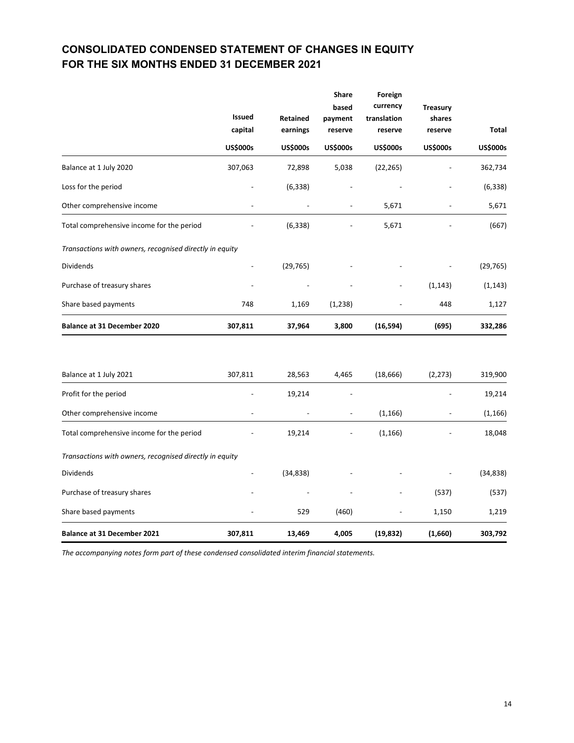# **CONSOLIDATED CONDENSED STATEMENT OF CHANGES IN EQUITY FOR THE SIX MONTHS ENDED 31 DECEMBER 2021**

|                                                         | <b>Issued</b><br>capital | Retained<br>earnings | <b>Share</b><br>based<br>payment<br>reserve | Foreign<br>currency<br>translation<br>reserve | <b>Treasury</b><br>shares<br>reserve | <b>Total</b>    |
|---------------------------------------------------------|--------------------------|----------------------|---------------------------------------------|-----------------------------------------------|--------------------------------------|-----------------|
|                                                         | <b>US\$000s</b>          | <b>US\$000s</b>      | <b>US\$000s</b>                             | <b>US\$000s</b>                               | <b>US\$000s</b>                      | <b>US\$000s</b> |
| Balance at 1 July 2020                                  | 307,063                  | 72,898               | 5,038                                       | (22, 265)                                     |                                      | 362,734         |
| Loss for the period                                     |                          | (6, 338)             |                                             |                                               |                                      | (6, 338)        |
| Other comprehensive income                              |                          |                      |                                             | 5,671                                         |                                      | 5,671           |
| Total comprehensive income for the period               |                          | (6, 338)             |                                             | 5,671                                         |                                      | (667)           |
| Transactions with owners, recognised directly in equity |                          |                      |                                             |                                               |                                      |                 |
| Dividends                                               |                          | (29, 765)            |                                             |                                               |                                      | (29, 765)       |
| Purchase of treasury shares                             |                          |                      |                                             |                                               | (1, 143)                             | (1, 143)        |
| Share based payments                                    | 748                      | 1,169                | (1, 238)                                    |                                               | 448                                  | 1,127           |
| Balance at 31 December 2020                             | 307,811                  | 37,964               | 3,800                                       | (16, 594)                                     | (695)                                | 332,286         |
| Balance at 1 July 2021                                  | 307,811                  | 28,563               | 4,465                                       | (18, 666)                                     | (2, 273)                             | 319,900         |
| Profit for the period                                   |                          | 19,214               |                                             |                                               |                                      | 19,214          |
| Other comprehensive income                              |                          |                      |                                             | (1, 166)                                      |                                      | (1, 166)        |
| Total comprehensive income for the period               |                          | 19,214               |                                             | (1, 166)                                      |                                      | 18,048          |
| Transactions with owners, recognised directly in equity |                          |                      |                                             |                                               |                                      |                 |
| Dividends                                               |                          | (34, 838)            |                                             |                                               |                                      | (34, 838)       |
| Purchase of treasury shares                             |                          |                      |                                             |                                               | (537)                                | (537)           |
| Share based payments                                    |                          | 529                  | (460)                                       |                                               | 1,150                                | 1,219           |
| Balance at 31 December 2021                             | 307,811                  | 13,469               | 4,005                                       | (19, 832)                                     | (1,660)                              | 303,792         |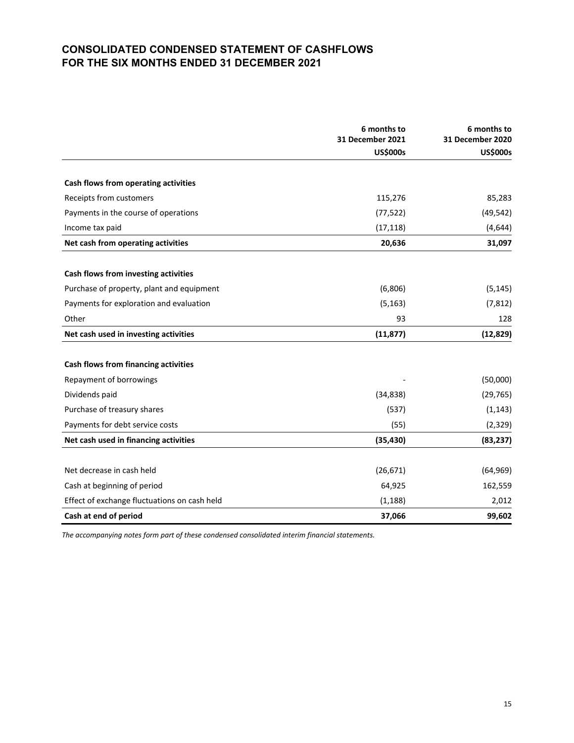# **CONSOLIDATED CONDENSED STATEMENT OF CASHFLOWS FOR THE SIX MONTHS ENDED 31 DECEMBER 2021**

|                                              | 6 months to<br>31 December 2021<br><b>US\$000s</b> | 6 months to<br>31 December 2020<br><b>US\$000s</b> |
|----------------------------------------------|----------------------------------------------------|----------------------------------------------------|
|                                              |                                                    |                                                    |
| Cash flows from operating activities         |                                                    |                                                    |
| Receipts from customers                      | 115,276                                            | 85,283                                             |
| Payments in the course of operations         | (77, 522)                                          | (49, 542)                                          |
| Income tax paid                              | (17, 118)                                          | (4, 644)                                           |
| Net cash from operating activities           | 20,636                                             | 31,097                                             |
| Cash flows from investing activities         |                                                    |                                                    |
| Purchase of property, plant and equipment    | (6,806)                                            | (5, 145)                                           |
| Payments for exploration and evaluation      | (5, 163)                                           | (7, 812)                                           |
| Other                                        | 93                                                 | 128                                                |
| Net cash used in investing activities        | (11, 877)                                          | (12, 829)                                          |
|                                              |                                                    |                                                    |
| Cash flows from financing activities         |                                                    |                                                    |
| Repayment of borrowings                      |                                                    | (50,000)                                           |
| Dividends paid                               | (34, 838)                                          | (29, 765)                                          |
| Purchase of treasury shares                  | (537)                                              | (1, 143)                                           |
| Payments for debt service costs              | (55)                                               | (2, 329)                                           |
| Net cash used in financing activities        | (35, 430)                                          | (83, 237)                                          |
|                                              |                                                    |                                                    |
| Net decrease in cash held                    | (26, 671)                                          | (64, 969)                                          |
| Cash at beginning of period                  | 64,925                                             | 162,559                                            |
| Effect of exchange fluctuations on cash held | (1, 188)                                           | 2,012                                              |
| Cash at end of period                        | 37,066                                             | 99,602                                             |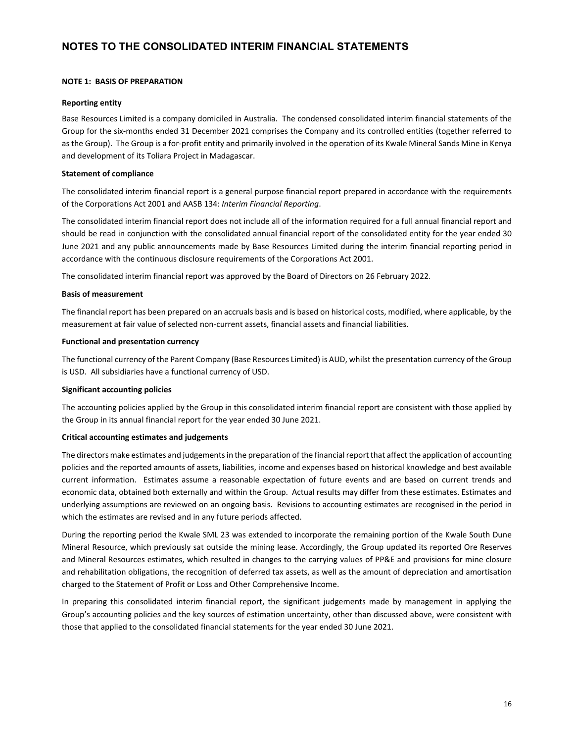#### **NOTE 1: BASIS OF PREPARATION**

#### **Reporting entity**

Base Resources Limited is a company domiciled in Australia. The condensed consolidated interim financial statements of the Group for the six‐months ended 31 December 2021 comprises the Company and its controlled entities (together referred to as the Group). The Group is a for-profit entity and primarily involved in the operation of its Kwale Mineral Sands Mine in Kenya and development of its Toliara Project in Madagascar.

#### **Statement of compliance**

The consolidated interim financial report is a general purpose financial report prepared in accordance with the requirements of the Corporations Act 2001 and AASB 134: *Interim Financial Reporting*.

The consolidated interim financial report does not include all of the information required for a full annual financial report and should be read in conjunction with the consolidated annual financial report of the consolidated entity for the year ended 30 June 2021 and any public announcements made by Base Resources Limited during the interim financial reporting period in accordance with the continuous disclosure requirements of the Corporations Act 2001.

The consolidated interim financial report was approved by the Board of Directors on 26 February 2022.

#### **Basis of measurement**

The financial report has been prepared on an accruals basis and is based on historical costs, modified, where applicable, by the measurement at fair value of selected non‐current assets, financial assets and financial liabilities.

#### **Functional and presentation currency**

The functional currency of the Parent Company (Base Resources Limited) is AUD, whilst the presentation currency of the Group is USD. All subsidiaries have a functional currency of USD.

#### **Significant accounting policies**

The accounting policies applied by the Group in this consolidated interim financial report are consistent with those applied by the Group in its annual financial report for the year ended 30 June 2021.

#### **Critical accounting estimates and judgements**

The directors make estimates and judgements in the preparation of the financial report that affect the application of accounting policies and the reported amounts of assets, liabilities, income and expenses based on historical knowledge and best available current information. Estimates assume a reasonable expectation of future events and are based on current trends and economic data, obtained both externally and within the Group. Actual results may differ from these estimates. Estimates and underlying assumptions are reviewed on an ongoing basis. Revisions to accounting estimates are recognised in the period in which the estimates are revised and in any future periods affected.

During the reporting period the Kwale SML 23 was extended to incorporate the remaining portion of the Kwale South Dune Mineral Resource, which previously sat outside the mining lease. Accordingly, the Group updated its reported Ore Reserves and Mineral Resources estimates, which resulted in changes to the carrying values of PP&E and provisions for mine closure and rehabilitation obligations, the recognition of deferred tax assets, as well as the amount of depreciation and amortisation charged to the Statement of Profit or Loss and Other Comprehensive Income.

In preparing this consolidated interim financial report, the significant judgements made by management in applying the Group's accounting policies and the key sources of estimation uncertainty, other than discussed above, were consistent with those that applied to the consolidated financial statements for the year ended 30 June 2021.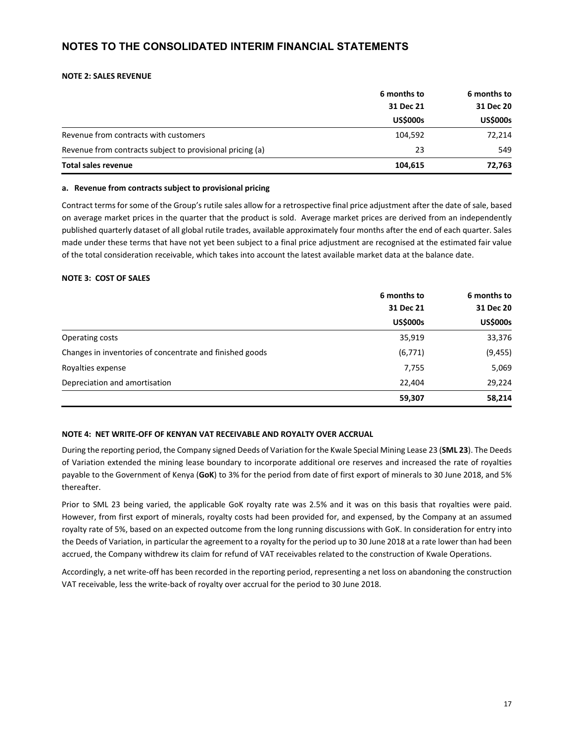#### **NOTE 2: SALES REVENUE**

|                                                           | 6 months to<br>31 Dec 21<br><b>US\$000s</b> | 6 months to     |           |
|-----------------------------------------------------------|---------------------------------------------|-----------------|-----------|
|                                                           |                                             |                 | 31 Dec 20 |
|                                                           |                                             | <b>US\$000s</b> |           |
| Revenue from contracts with customers                     | 104,592                                     | 72,214          |           |
| Revenue from contracts subject to provisional pricing (a) | 23                                          | 549             |           |
| Total sales revenue                                       | 104,615                                     | 72,763          |           |

#### **a. Revenue from contracts subject to provisional pricing**

Contract terms for some of the Group's rutile sales allow for a retrospective final price adjustment after the date of sale, based on average market prices in the quarter that the product is sold. Average market prices are derived from an independently published quarterly dataset of all global rutile trades, available approximately four months after the end of each quarter. Sales made under these terms that have not yet been subject to a final price adjustment are recognised at the estimated fair value of the total consideration receivable, which takes into account the latest available market data at the balance date.

#### **NOTE 3: COST OF SALES**

|                                                          | 6 months to<br>31 Dec 21<br><b>US\$000s</b> |                 | 6 months to |
|----------------------------------------------------------|---------------------------------------------|-----------------|-------------|
|                                                          |                                             |                 | 31 Dec 20   |
|                                                          |                                             | <b>US\$000s</b> |             |
| Operating costs                                          | 35,919                                      | 33,376          |             |
| Changes in inventories of concentrate and finished goods | (6, 771)                                    | (9, 455)        |             |
| Royalties expense                                        | 7,755                                       | 5,069           |             |
| Depreciation and amortisation                            | 22,404                                      | 29,224          |             |
|                                                          | 59,307                                      | 58,214          |             |

#### **NOTE 4: NET WRITE‐OFF OF KENYAN VAT RECEIVABLE AND ROYALTY OVER ACCRUAL**

During the reporting period, the Company signed Deeds of Variation for the Kwale Special Mining Lease 23 (**SML 23**). The Deeds of Variation extended the mining lease boundary to incorporate additional ore reserves and increased the rate of royalties payable to the Government of Kenya (**GoK**) to 3% for the period from date of first export of minerals to 30 June 2018, and 5% thereafter.

Prior to SML 23 being varied, the applicable GoK royalty rate was 2.5% and it was on this basis that royalties were paid. However, from first export of minerals, royalty costs had been provided for, and expensed, by the Company at an assumed royalty rate of 5%, based on an expected outcome from the long running discussions with GoK. In consideration for entry into the Deeds of Variation, in particular the agreement to a royalty for the period up to 30 June 2018 at a rate lower than had been accrued, the Company withdrew its claim for refund of VAT receivables related to the construction of Kwale Operations.

Accordingly, a net write‐off has been recorded in the reporting period, representing a net loss on abandoning the construction VAT receivable, less the write‐back of royalty over accrual for the period to 30 June 2018.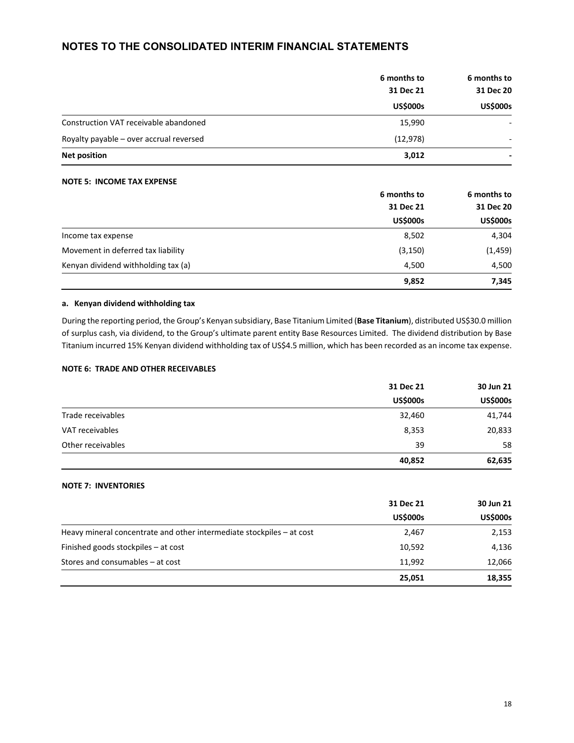|                                         | 6 months to<br>31 Dec 21<br><b>US\$000s</b> |                 | 6 months to |
|-----------------------------------------|---------------------------------------------|-----------------|-------------|
|                                         |                                             |                 | 31 Dec 20   |
|                                         |                                             | <b>US\$000s</b> |             |
| Construction VAT receivable abandoned   | 15,990                                      |                 |             |
| Royalty payable - over accrual reversed | (12, 978)                                   |                 |             |
| <b>Net position</b>                     | 3,012                                       |                 |             |

#### **NOTE 5: INCOME TAX EXPENSE**

|                                     | 6 months to     | 6 months to     |  |
|-------------------------------------|-----------------|-----------------|--|
|                                     | 31 Dec 21       | 31 Dec 20       |  |
|                                     | <b>US\$000s</b> | <b>US\$000s</b> |  |
| Income tax expense                  | 8,502           | 4,304           |  |
| Movement in deferred tax liability  | (3, 150)        | (1, 459)        |  |
| Kenyan dividend withholding tax (a) | 4,500           | 4,500           |  |
|                                     | 9,852           | 7,345           |  |

#### **a. Kenyan dividend withholding tax**

During the reporting period, the Group's Kenyan subsidiary, Base Titanium Limited (**Base Titanium**), distributed US\$30.0 million of surplus cash, via dividend, to the Group's ultimate parent entity Base Resources Limited. The dividend distribution by Base Titanium incurred 15% Kenyan dividend withholding tax of US\$4.5 million, which has been recorded as an income tax expense.

#### **NOTE 6: TRADE AND OTHER RECEIVABLES**

|                   | 31 Dec 21       | 30 Jun 21       |  |
|-------------------|-----------------|-----------------|--|
|                   | <b>US\$000s</b> | <b>US\$000s</b> |  |
| Trade receivables | 32,460          | 41,744          |  |
| VAT receivables   | 8,353           | 20,833          |  |
| Other receivables | 39              | 58              |  |
|                   | 40,852          | 62,635          |  |

#### **NOTE 7: INVENTORIES**

|                                                                       | 31 Dec 21       | 30 Jun 21       |  |
|-----------------------------------------------------------------------|-----------------|-----------------|--|
|                                                                       | <b>US\$000s</b> | <b>US\$000s</b> |  |
| Heavy mineral concentrate and other intermediate stockpiles – at cost | 2,467           | 2,153           |  |
| Finished goods stockpiles – at cost                                   | 10,592          | 4,136           |  |
| Stores and consumables – at cost                                      | 11,992          | 12,066          |  |
|                                                                       | 25,051          | 18,355          |  |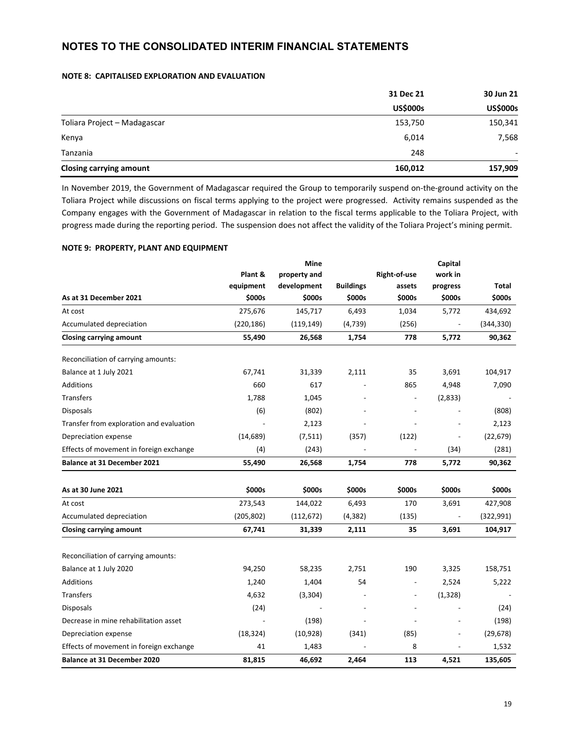#### **NOTE 8: CAPITALISED EXPLORATION AND EVALUATION**

|                                | 31 Dec 21       | 30 Jun 21       |  |
|--------------------------------|-----------------|-----------------|--|
|                                | <b>US\$000s</b> | <b>US\$000s</b> |  |
| Toliara Project - Madagascar   | 153,750         | 150,341         |  |
| Kenya                          | 6,014           | 7,568           |  |
| Tanzania                       | 248             | -               |  |
| <b>Closing carrying amount</b> | 160,012         | 157,909         |  |

In November 2019, the Government of Madagascar required the Group to temporarily suspend on-the-ground activity on the Toliara Project while discussions on fiscal terms applying to the project were progressed. Activity remains suspended as the Company engages with the Government of Madagascar in relation to the fiscal terms applicable to the Toliara Project, with progress made during the reporting period. The suspension does not affect the validity of the Toliara Project's mining permit.

#### **NOTE 9: PROPERTY, PLANT AND EQUIPMENT**

|                                          |            | Mine         |                  |                | Capital                  |              |
|------------------------------------------|------------|--------------|------------------|----------------|--------------------------|--------------|
|                                          | Plant &    | property and |                  | Right-of-use   | work in                  |              |
|                                          | equipment  | development  | <b>Buildings</b> | assets         | progress                 | <b>Total</b> |
| As at 31 December 2021                   | \$000s     | \$000s       | \$000s           | \$000s         | \$000s                   | \$000s       |
| At cost                                  | 275,676    | 145,717      | 6,493            | 1,034          | 5,772                    | 434,692      |
| Accumulated depreciation                 | (220, 186) | (119, 149)   | (4, 739)         | (256)          |                          | (344, 330)   |
| <b>Closing carrying amount</b>           | 55,490     | 26,568       | 1,754            | 778            | 5,772                    | 90,362       |
| Reconciliation of carrying amounts:      |            |              |                  |                |                          |              |
| Balance at 1 July 2021                   | 67,741     | 31,339       | 2,111            | 35             | 3,691                    | 104,917      |
| <b>Additions</b>                         | 660        | 617          |                  | 865            | 4,948                    | 7,090        |
| Transfers                                | 1,788      | 1,045        |                  |                | (2,833)                  |              |
| <b>Disposals</b>                         | (6)        | (802)        |                  |                |                          | (808)        |
| Transfer from exploration and evaluation |            | 2,123        |                  |                |                          | 2,123        |
| Depreciation expense                     | (14, 689)  | (7, 511)     | (357)            | (122)          | $\overline{\phantom{a}}$ | (22, 679)    |
| Effects of movement in foreign exchange  | (4)        | (243)        |                  |                | (34)                     | (281)        |
| <b>Balance at 31 December 2021</b>       | 55,490     | 26,568       | 1,754            | 778            | 5,772                    | 90,362       |
|                                          |            |              |                  |                |                          |              |
| As at 30 June 2021                       | \$000s     | \$000s       | \$000s           | \$000s         | \$000s                   | \$000s       |
| At cost                                  | 273,543    | 144,022      | 6,493            | 170            | 3,691                    | 427,908      |
| Accumulated depreciation                 | (205, 802) | (112, 672)   | (4, 382)         | (135)          |                          | (322, 991)   |
| <b>Closing carrying amount</b>           | 67,741     | 31,339       | 2,111            | 35             | 3,691                    | 104,917      |
| Reconciliation of carrying amounts:      |            |              |                  |                |                          |              |
| Balance at 1 July 2020                   | 94,250     | 58,235       | 2.751            | 190            | 3,325                    | 158,751      |
| Additions                                | 1,240      | 1,404        | 54               |                | 2,524                    | 5,222        |
| <b>Transfers</b>                         | 4,632      | (3,304)      |                  | $\overline{a}$ | (1, 328)                 |              |
| <b>Disposals</b>                         | (24)       |              |                  |                | $\overline{a}$           | (24)         |
| Decrease in mine rehabilitation asset    |            | (198)        |                  |                | $\overline{\phantom{a}}$ | (198)        |
| Depreciation expense                     | (18, 324)  | (10, 928)    | (341)            | (85)           | $\overline{\phantom{a}}$ | (29, 678)    |
| Effects of movement in foreign exchange  | 41         | 1,483        |                  | 8              |                          | 1,532        |
| <b>Balance at 31 December 2020</b>       | 81,815     | 46,692       | 2,464            | 113            | 4,521                    | 135,605      |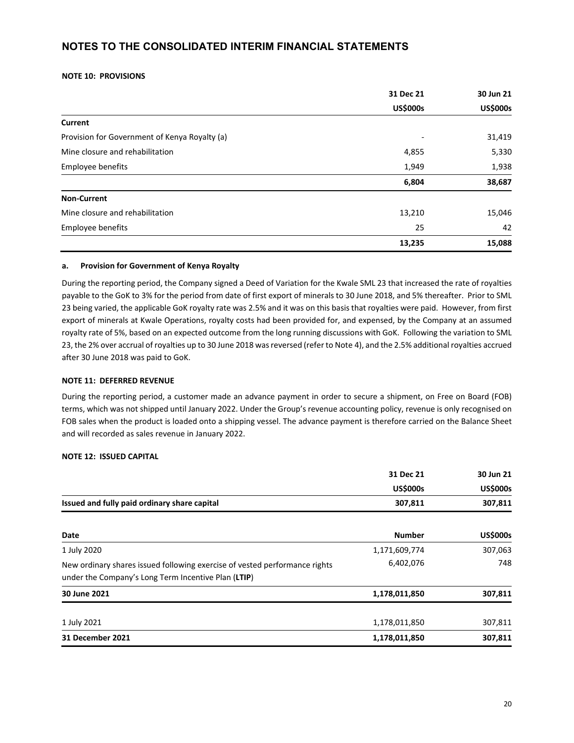#### **NOTE 10: PROVISIONS**

|                                               | 31 Dec 21       | 30 Jun 21       |
|-----------------------------------------------|-----------------|-----------------|
|                                               | <b>US\$000s</b> | <b>US\$000s</b> |
| Current                                       |                 |                 |
| Provision for Government of Kenya Royalty (a) |                 | 31,419          |
| Mine closure and rehabilitation               | 4,855           | 5,330           |
| Employee benefits                             | 1,949           | 1,938           |
|                                               | 6,804           | 38,687          |
| <b>Non-Current</b>                            |                 |                 |
| Mine closure and rehabilitation               | 13,210          | 15,046          |
| Employee benefits                             | 25              | 42              |
|                                               | 13,235          | 15,088          |

#### **a. Provision for Government of Kenya Royalty**

During the reporting period, the Company signed a Deed of Variation for the Kwale SML 23 that increased the rate of royalties payable to the GoK to 3% for the period from date of first export of minerals to 30 June 2018, and 5% thereafter. Prior to SML 23 being varied, the applicable GoK royalty rate was 2.5% and it was on this basis that royalties were paid. However, from first export of minerals at Kwale Operations, royalty costs had been provided for, and expensed, by the Company at an assumed royalty rate of 5%, based on an expected outcome from the long running discussions with GoK. Following the variation to SML 23, the 2% over accrual of royalties up to 30 June 2018 wasreversed (refer to Note 4), and the 2.5% additional royalties accrued after 30 June 2018 was paid to GoK.

#### **NOTE 11: DEFERRED REVENUE**

During the reporting period, a customer made an advance payment in order to secure a shipment, on Free on Board (FOB) terms, which was not shipped until January 2022. Under the Group's revenue accounting policy, revenue is only recognised on FOB sales when the product is loaded onto a shipping vessel. The advance payment is therefore carried on the Balance Sheet and will recorded as sales revenue in January 2022.

#### **NOTE 12: ISSUED CAPITAL**

|                                                                                                                                   | 31 Dec 21       | 30 Jun 21       |  |
|-----------------------------------------------------------------------------------------------------------------------------------|-----------------|-----------------|--|
|                                                                                                                                   | <b>US\$000s</b> | <b>US\$000s</b> |  |
| Issued and fully paid ordinary share capital                                                                                      | 307,811         | 307,811         |  |
| Date                                                                                                                              | <b>Number</b>   | <b>US\$000s</b> |  |
| 1 July 2020                                                                                                                       | 1,171,609,774   | 307,063         |  |
| New ordinary shares issued following exercise of vested performance rights<br>under the Company's Long Term Incentive Plan (LTIP) | 6,402,076       | 748             |  |
| 30 June 2021                                                                                                                      | 1,178,011,850   | 307,811         |  |
| 1 July 2021                                                                                                                       | 1,178,011,850   | 307,811         |  |
| <b>31 December 2021</b>                                                                                                           | 1,178,011,850   | 307,811         |  |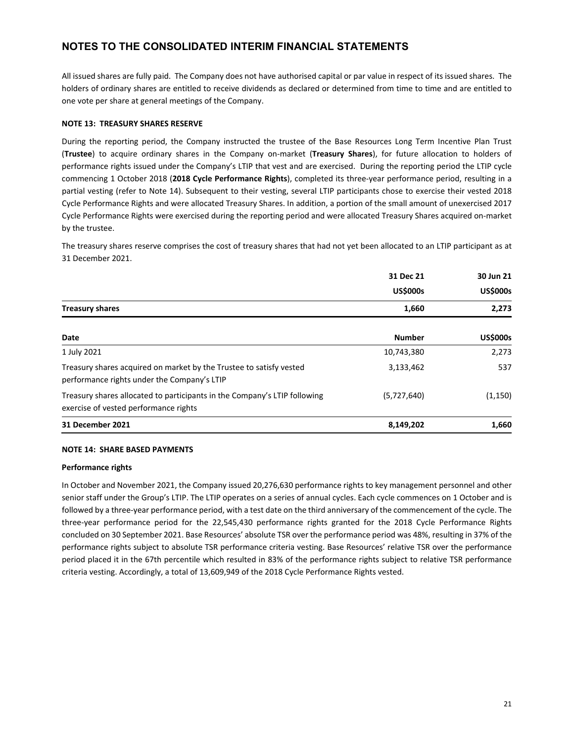All issued shares are fully paid. The Company does not have authorised capital or par value in respect of its issued shares. The holders of ordinary shares are entitled to receive dividends as declared or determined from time to time and are entitled to one vote per share at general meetings of the Company.

#### **NOTE 13: TREASURY SHARES RESERVE**

During the reporting period, the Company instructed the trustee of the Base Resources Long Term Incentive Plan Trust (**Trustee**) to acquire ordinary shares in the Company on‐market (**Treasury Shares**), for future allocation to holders of performance rights issued under the Company's LTIP that vest and are exercised. During the reporting period the LTIP cycle commencing 1 October 2018 (**2018 Cycle Performance Rights**), completed its three‐year performance period, resulting in a partial vesting (refer to Note 14). Subsequent to their vesting, several LTIP participants chose to exercise their vested 2018 Cycle Performance Rights and were allocated Treasury Shares. In addition, a portion of the small amount of unexercised 2017 Cycle Performance Rights were exercised during the reporting period and were allocated Treasury Shares acquired on‐market by the trustee.

The treasury shares reserve comprises the cost of treasury shares that had not yet been allocated to an LTIP participant as at 31 December 2021.

|                                                                                                                    | 31 Dec 21       | 30 Jun 21       |  |
|--------------------------------------------------------------------------------------------------------------------|-----------------|-----------------|--|
|                                                                                                                    | <b>US\$000s</b> | <b>US\$000s</b> |  |
| <b>Treasury shares</b>                                                                                             | 1,660           | 2,273           |  |
| Date                                                                                                               | <b>Number</b>   | <b>US\$000s</b> |  |
| 1 July 2021                                                                                                        | 10,743,380      | 2,273           |  |
| Treasury shares acquired on market by the Trustee to satisfy vested<br>performance rights under the Company's LTIP | 3,133,462       | 537             |  |
| Treasury shares allocated to participants in the Company's LTIP following<br>exercise of vested performance rights | (5,727,640)     | (1, 150)        |  |
| <b>31 December 2021</b>                                                                                            | 8,149,202       | 1,660           |  |

#### **NOTE 14: SHARE BASED PAYMENTS**

#### **Performance rights**

In October and November 2021, the Company issued 20,276,630 performance rights to key management personnel and other senior staff under the Group's LTIP. The LTIP operates on a series of annual cycles. Each cycle commences on 1 October and is followed by a three‐year performance period, with a test date on the third anniversary of the commencement of the cycle. The three‐year performance period for the 22,545,430 performance rights granted for the 2018 Cycle Performance Rights concluded on 30 September 2021. Base Resources' absolute TSR over the performance period was 48%, resulting in 37% of the performance rights subject to absolute TSR performance criteria vesting. Base Resources' relative TSR over the performance period placed it in the 67th percentile which resulted in 83% of the performance rights subject to relative TSR performance criteria vesting. Accordingly, a total of 13,609,949 of the 2018 Cycle Performance Rights vested.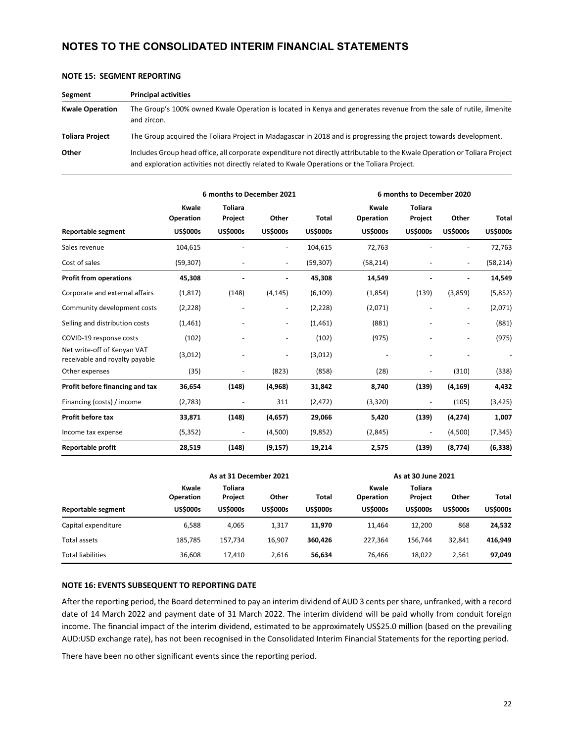| Segment                | <b>Principal activities</b>                                                                                                                                                                                              |
|------------------------|--------------------------------------------------------------------------------------------------------------------------------------------------------------------------------------------------------------------------|
| <b>Kwale Operation</b> | The Group's 100% owned Kwale Operation is located in Kenya and generates revenue from the sale of rutile, ilmenite<br>and zircon.                                                                                        |
| <b>Toliara Project</b> | The Group acquired the Toliara Project in Madagascar in 2018 and is progressing the project towards development.                                                                                                         |
| Other                  | Includes Group head office, all corporate expenditure not directly attributable to the Kwale Operation or Toliara Project<br>and exploration activities not directly related to Kwale Operations or the Toliara Project. |

|  |  | <b>NOTE 15: SEGMENT REPORTING</b> |
|--|--|-----------------------------------|
|--|--|-----------------------------------|

|                                                               | 6 months to December 2021 |                           |                          |                 | 6 months to December 2020 |                           |                 |                 |
|---------------------------------------------------------------|---------------------------|---------------------------|--------------------------|-----------------|---------------------------|---------------------------|-----------------|-----------------|
|                                                               | Kwale<br><b>Operation</b> | <b>Toliara</b><br>Project | Other                    | <b>Total</b>    | Kwale<br>Operation        | <b>Toliara</b><br>Project | Other           | <b>Total</b>    |
| <b>Reportable segment</b>                                     | <b>US\$000s</b>           | <b>US\$000s</b>           | <b>US\$000s</b>          | <b>US\$000s</b> | <b>US\$000s</b>           | <b>US\$000s</b>           | <b>US\$000s</b> | <b>US\$000s</b> |
| Sales revenue                                                 | 104,615                   |                           | $\blacksquare$           | 104,615         | 72,763                    |                           | -               | 72,763          |
| Cost of sales                                                 | (59, 307)                 |                           | $\overline{\phantom{a}}$ | (59, 307)       | (58, 214)                 |                           | $\blacksquare$  | (58, 214)       |
| <b>Profit from operations</b>                                 | 45,308                    |                           |                          | 45,308          | 14,549                    |                           |                 | 14,549          |
| Corporate and external affairs                                | (1, 817)                  | (148)                     | (4, 145)                 | (6, 109)        | (1,854)                   | (139)                     | (3,859)         | (5,852)         |
| Community development costs                                   | (2, 228)                  |                           | $\overline{\phantom{a}}$ | (2, 228)        | (2,071)                   |                           | $\blacksquare$  | (2,071)         |
| Selling and distribution costs                                | (1,461)                   |                           | $\overline{\phantom{a}}$ | (1, 461)        | (881)                     |                           |                 | (881)           |
| COVID-19 response costs                                       | (102)                     |                           |                          | (102)           | (975)                     |                           |                 | (975)           |
| Net write-off of Kenyan VAT<br>receivable and royalty payable | (3,012)                   |                           | $\overline{\phantom{a}}$ | (3,012)         |                           |                           |                 |                 |
| Other expenses                                                | (35)                      | ٠                         | (823)                    | (858)           | (28)                      |                           | (310)           | (338)           |
| Profit before financing and tax                               | 36,654                    | (148)                     | (4, 968)                 | 31,842          | 8,740                     | (139)                     | (4, 169)        | 4,432           |
| Financing (costs) / income                                    | (2,783)                   |                           | 311                      | (2, 472)        | (3,320)                   |                           | (105)           | (3, 425)        |
| Profit before tax                                             | 33,871                    | (148)                     | (4,657)                  | 29,066          | 5,420                     | (139)                     | (4, 274)        | 1,007           |
| Income tax expense                                            | (5, 352)                  | $\overline{\phantom{a}}$  | (4,500)                  | (9,852)         | (2,845)                   |                           | (4,500)         | (7, 345)        |
| Reportable profit                                             | 28,519                    | (148)                     | (9, 157)                 | 19,214          | 2,575                     | (139)                     | (8, 774)        | (6, 338)        |

|                          |                                       | As at 31 December 2021                       |                          |                          | As at 30 June 2021                           |                                       |                          |                                 |
|--------------------------|---------------------------------------|----------------------------------------------|--------------------------|--------------------------|----------------------------------------------|---------------------------------------|--------------------------|---------------------------------|
| Reportable segment       | Kwale<br>Operation<br><b>US\$000s</b> | <b>Toliara</b><br>Project<br><b>US\$000s</b> | Other<br><b>US\$000s</b> | Total<br><b>US\$000s</b> | Kwale<br><b>Operation</b><br><b>US\$000s</b> | Toliara<br>Project<br><b>US\$000s</b> | Other<br><b>US\$000s</b> | <b>Total</b><br><b>US\$000s</b> |
| Capital expenditure      | 6.588                                 | 4.065                                        | 1,317                    | 11,970                   | 11.464                                       | 12.200                                | 868                      | 24,532                          |
| Total assets             | 185.785                               | 157,734                                      | 16.907                   | 360.426                  | 227.364                                      | 156.744                               | 32,841                   | 416,949                         |
| <b>Total liabilities</b> | 36,608                                | 17,410                                       | 2,616                    | 56,634                   | 76,466                                       | 18,022                                | 2,561                    | 97,049                          |

#### **NOTE 16: EVENTS SUBSEQUENT TO REPORTING DATE**

After the reporting period, the Board determined to pay an interim dividend of AUD 3 cents pershare, unfranked, with a record date of 14 March 2022 and payment date of 31 March 2022. The interim dividend will be paid wholly from conduit foreign income. The financial impact of the interim dividend, estimated to be approximately US\$25.0 million (based on the prevailing AUD:USD exchange rate), has not been recognised in the Consolidated Interim Financial Statements for the reporting period.

There have been no other significant events since the reporting period.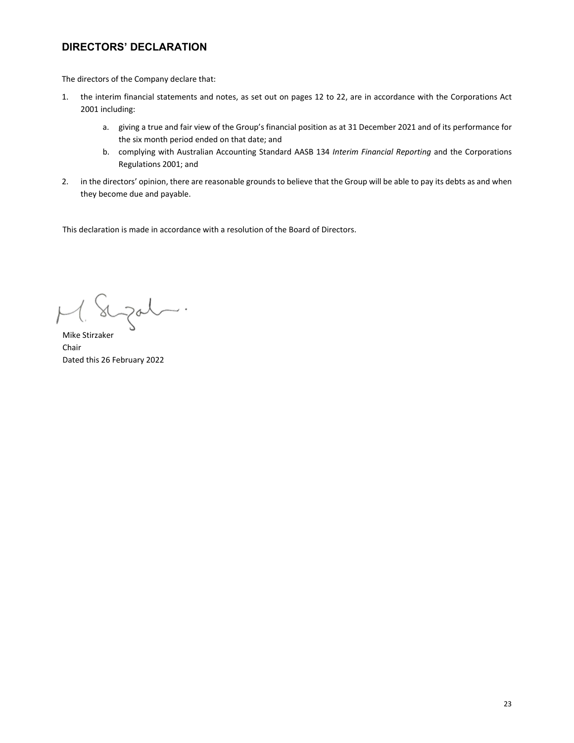# **DIRECTORS' DECLARATION**

The directors of the Company declare that:

- 1. the interim financial statements and notes, as set out on pages 12 to 22, are in accordance with the Corporations Act 2001 including:
	- a. giving a true and fair view of the Group's financial position as at 31 December 2021 and of its performance for the six month period ended on that date; and
	- b. complying with Australian Accounting Standard AASB 134 *Interim Financial Reporting* and the Corporations Regulations 2001; and
- 2. in the directors' opinion, there are reasonable grounds to believe that the Group will be able to pay its debts as and when they become due and payable.

This declaration is made in accordance with a resolution of the Board of Directors.

augat.

Mike Stirzaker Chair Dated this 26 February 2022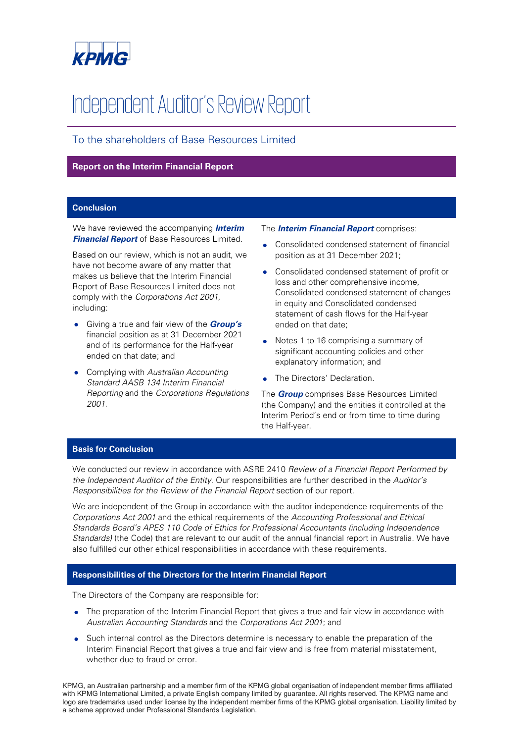

# Independent Auditor's Review Report

# To the shareholders of Base Resources Limited

### **Report on the Interim Financial Report**

## **Conclusion**

We have reviewed the accompanying **Interim Financial Report** of Base Resources Limited.

Based on our review, which is not an audit, we have not become aware of any matter that makes us believe that the Interim Financial Report of Base Resources Limited does not comply with the Corporations Act 2001, including:

- Giving a true and fair view of the **Group's** financial position as at 31 December 2021 and of its performance for the Half-year ended on that date; and
- Complying with Australian Accounting Standard AASB 134 Interim Financial Reporting and the Corporations Regulations 2001.

#### The **Interim Financial Report** comprises:

- Consolidated condensed statement of financial position as at 31 December 2021;
- Consolidated condensed statement of profit or loss and other comprehensive income, Consolidated condensed statement of changes in equity and Consolidated condensed statement of cash flows for the Half-year ended on that date;
- Notes 1 to 16 comprising a summary of significant accounting policies and other explanatory information; and
- The Directors' Declaration.

The **Group** comprises Base Resources Limited (the Company) and the entities it controlled at the Interim Period's end or from time to time during the Half-year.

## **Basis for Conclusion**

We conducted our review in accordance with ASRE 2410 Review of a Financial Report Performed by the Independent Auditor of the Entity. Our responsibilities are further described in the Auditor's Responsibilities for the Review of the Financial Report section of our report.

We are independent of the Group in accordance with the auditor independence requirements of the Corporations Act 2001 and the ethical requirements of the Accounting Professional and Ethical Standards Board's APES 110 Code of Ethics for Professional Accountants (including Independence Standards) (the Code) that are relevant to our audit of the annual financial report in Australia. We have also fulfilled our other ethical responsibilities in accordance with these requirements.

#### **Responsibilities of the Directors for the Interim Financial Report**

The Directors of the Company are responsible for:

- The preparation of the Interim Financial Report that gives a true and fair view in accordance with Australian Accounting Standards and the Corporations Act 2001; and
- Such internal control as the Directors determine is necessary to enable the preparation of the Interim Financial Report that gives a true and fair view and is free from material misstatement, whether due to fraud or error.

KPMG, an Australian partnership and a member firm of the KPMG global organisation of independent member firms affiliated with KPMG International Limited, a private English company limited by guarantee. All rights reserved. The KPMG name and logo are trademarks used under license by the independent member firms of the KPMG global organisation. Liability limited by a scheme approved under Professional Standards Legislation.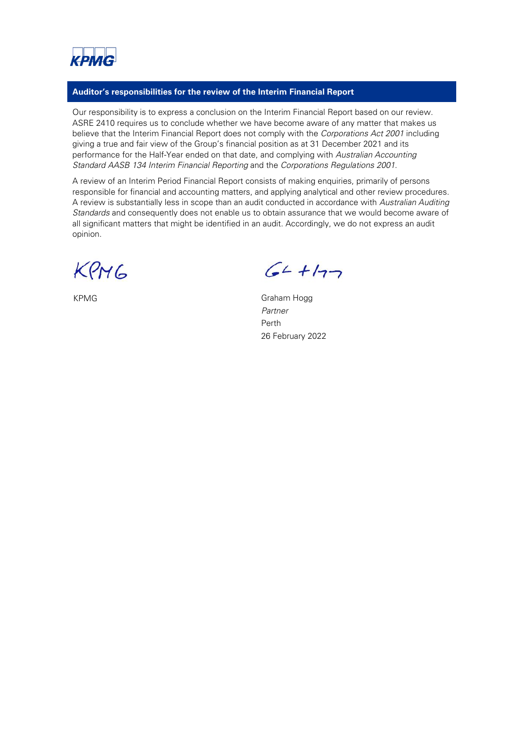

### **Auditor's responsibilities for the review of the Interim Financial Report**

Our responsibility is to express a conclusion on the Interim Financial Report based on our review. ASRE 2410 requires us to conclude whether we have become aware of any matter that makes us believe that the Interim Financial Report does not comply with the Corporations Act 2001 including giving a true and fair view of the Group's financial position as at 31 December 2021 and its performance for the Half-Year ended on that date, and complying with Australian Accounting Standard AASB 134 Interim Financial Reporting and the Corporations Regulations 2001.

A review of an Interim Period Financial Report consists of making enquiries, primarily of persons responsible for financial and accounting matters, and applying analytical and other review procedures. A review is substantially less in scope than an audit conducted in accordance with Australian Auditing Standards and consequently does not enable us to obtain assurance that we would become aware of all significant matters that might be identified in an audit. Accordingly, we do not express an audit opinion.

KPMG

 $64 + 177$ 

KPMG Graham Hogg Partner Perth 26 February 2022